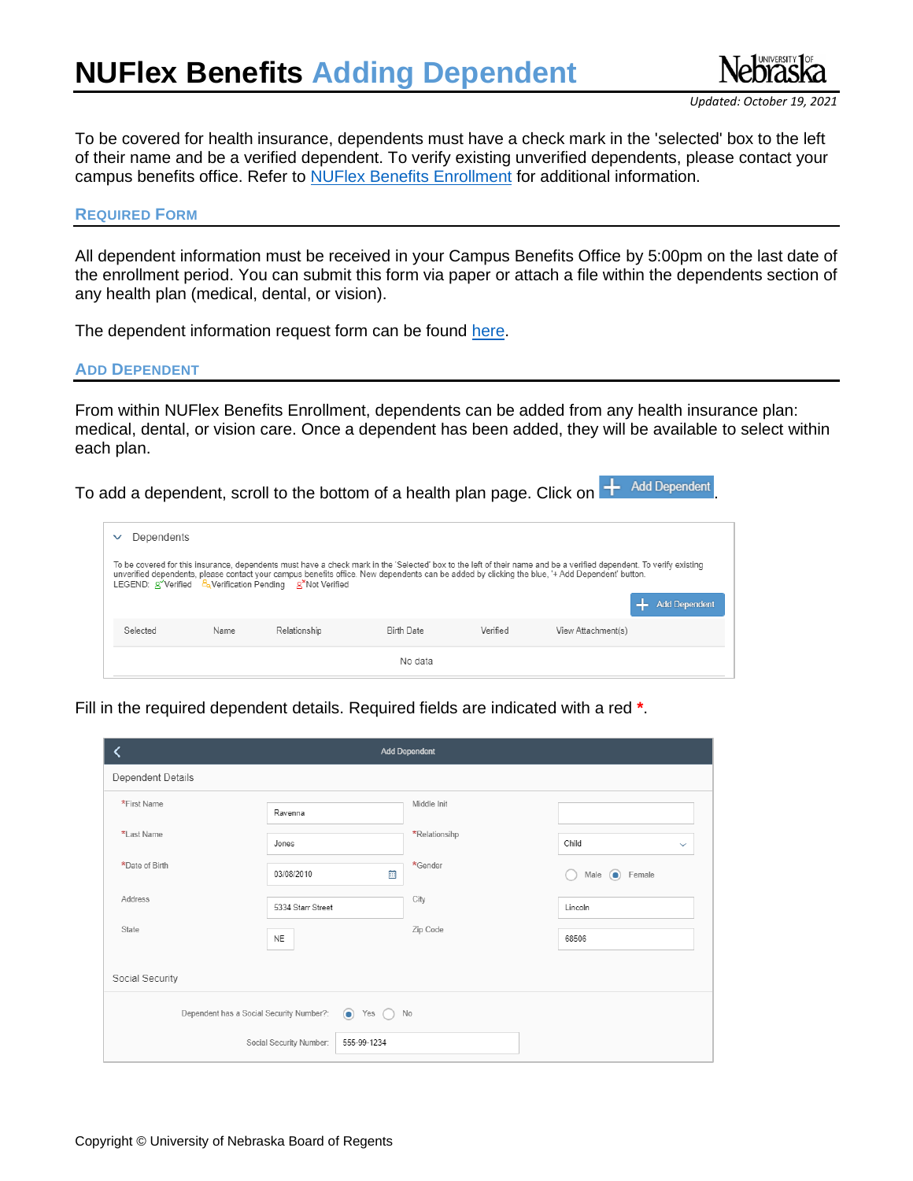

To be covered for health insurance, dependents must have a check mark in the 'selected' box to the left of their name and be a verified dependent. To verify existing unverified dependents, please contact your campus benefits office. Refer to [NUFlex Benefits](https://nebraska.edu/faculty-and-staff/health-benefits) Enrollment for additional information.

## **REQUIRED FORM**

All dependent information must be received in your Campus Benefits Office by 5:00pm on the last date of the enrollment period. You can submit this form via paper or attach a file within the dependents section of any health plan (medical, dental, or vision).

The dependent information request form can be found [here.](https://nebraska.edu/-/media/projects/unca/faculty-staff/health-benefits/dependentinformationrequestform.pdf)

## **ADD DEPENDENT**

From within NUFlex Benefits Enrollment, dependents can be added from any health insurance plan: medical, dental, or vision care. Once a dependent has been added, they will be available to select within each plan.

To add a dependent, scroll to the bottom of a health plan page. Click on  $+$  Add Dependent

| Dependents                                                                                                                                                                                                                                                                                                                                                                                                                                               |      |              |                   |          |                    |  |  |  |
|----------------------------------------------------------------------------------------------------------------------------------------------------------------------------------------------------------------------------------------------------------------------------------------------------------------------------------------------------------------------------------------------------------------------------------------------------------|------|--------------|-------------------|----------|--------------------|--|--|--|
| To be covered for this insurance, dependents must have a check mark in the 'Selected' box to the left of their name and be a verified dependent. To verify existing<br>unverified dependents, please contact your campus benefits office. New dependents can be added by clicking the blue, '+ Add Dependent' button.<br>LEGEND: g <sup>y</sup> Verified $\frac{B_0}{2}$ Verification Pending $\mathbb{R}^{\times}$ Not Verified<br><b>Add Dependent</b> |      |              |                   |          |                    |  |  |  |
| Selected                                                                                                                                                                                                                                                                                                                                                                                                                                                 | Name | Relationship | <b>Birth Date</b> | Verified | View Attachment(s) |  |  |  |
| No data                                                                                                                                                                                                                                                                                                                                                                                                                                                  |      |              |                   |          |                    |  |  |  |

Fill in the required dependent details. Required fields are indicated with a red **\***.

| <b>Add Dependent</b>                                                           |                   |   |               |                           |  |  |
|--------------------------------------------------------------------------------|-------------------|---|---------------|---------------------------|--|--|
| Dependent Details                                                              |                   |   |               |                           |  |  |
| *First Name                                                                    | Ravenna           |   | Middle Init   |                           |  |  |
| *Last Name                                                                     | Jones             |   | *Relationsihp | Child<br>$\checkmark$     |  |  |
| *Date of Birth                                                                 | 03/08/2010        | 囲 | *Gender       | Female<br>Male<br>$\odot$ |  |  |
| Address                                                                        | 5334 Starr Street |   | City          | Lincoln                   |  |  |
| State                                                                          | <b>NE</b>         |   | Zip Code      | 68506                     |  |  |
| Social Security                                                                |                   |   |               |                           |  |  |
| Dependent has a Social Security Number?:<br>Yes<br>No<br>$\circ$<br>$\sqrt{2}$ |                   |   |               |                           |  |  |
| Social Security Number:<br>555-99-1234                                         |                   |   |               |                           |  |  |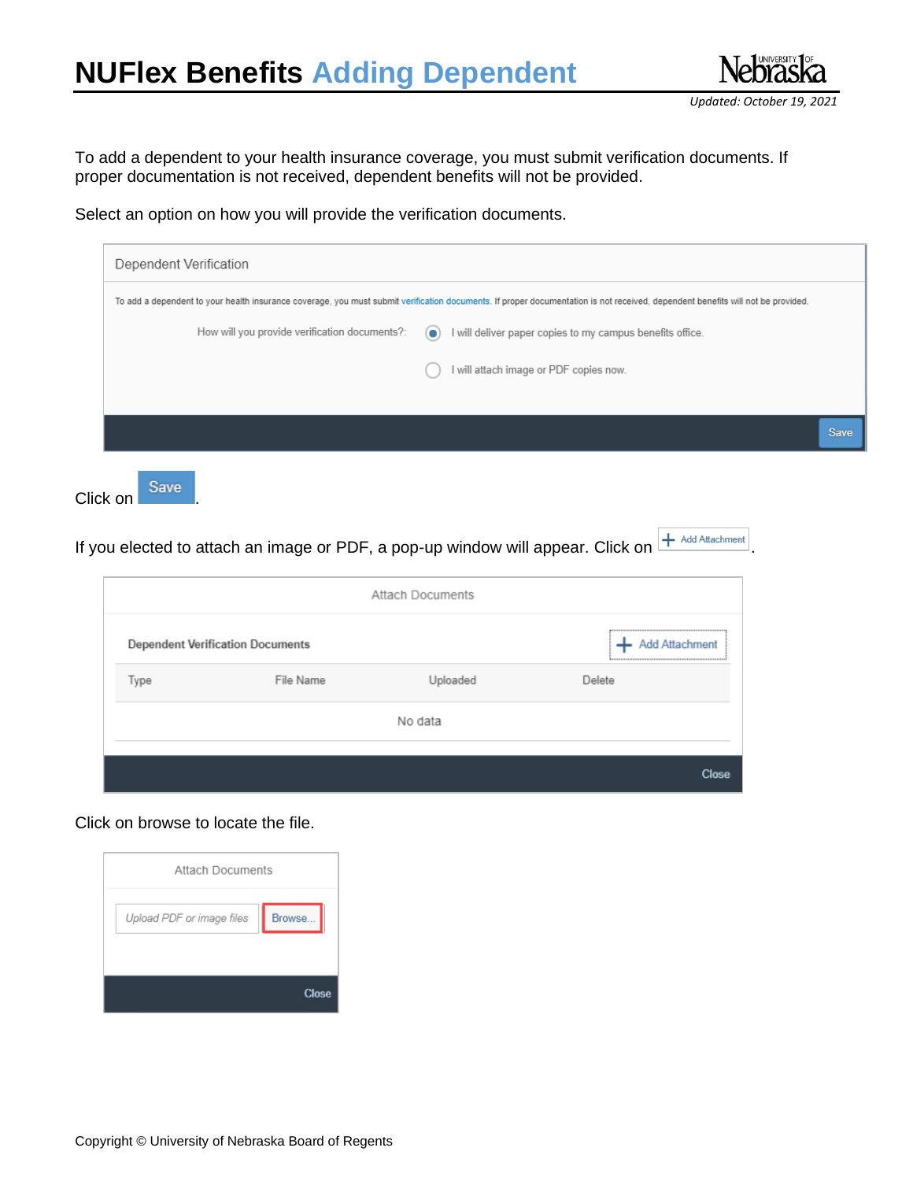## **NUFlex Benefits Adding Dependent**



To add a dependent to your health insurance coverage, you must submit verification documents. If proper documentation is not received, dependent benefits will not be provided.

Select an option on how you will provide the verification documents.

|                                               |           | To add a dependent to your health insurance coverage, you must submit verification documents. If proper documentation is not received, dependent benefits will not be provided. |             |
|-----------------------------------------------|-----------|---------------------------------------------------------------------------------------------------------------------------------------------------------------------------------|-------------|
| How will you provide verification documents?: | $\bullet$ | I will deliver paper copies to my campus benefits office.                                                                                                                       |             |
|                                               |           | I will attach image or PDF copies now.                                                                                                                                          |             |
|                                               |           |                                                                                                                                                                                 |             |
|                                               |           |                                                                                                                                                                                 | <b>Save</b> |

If you elected to attach an image or PDF, a pop-up window will appear. Click on  $H$  Add Attachment

| <b>Attach Documents</b> |                                         |                       |        |  |  |
|-------------------------|-----------------------------------------|-----------------------|--------|--|--|
|                         | <b>Dependent Verification Documents</b> | <b>Add Attachment</b> |        |  |  |
| Type                    | File Name                               | Uploaded              | Delete |  |  |
|                         |                                         | No data               |        |  |  |
|                         |                                         |                       | Close  |  |  |

Click on browse to locate the file.

| <b>Attach Documents</b>   |        |
|---------------------------|--------|
| Upload PDF or image files | Browse |
|                           |        |
|                           | Close  |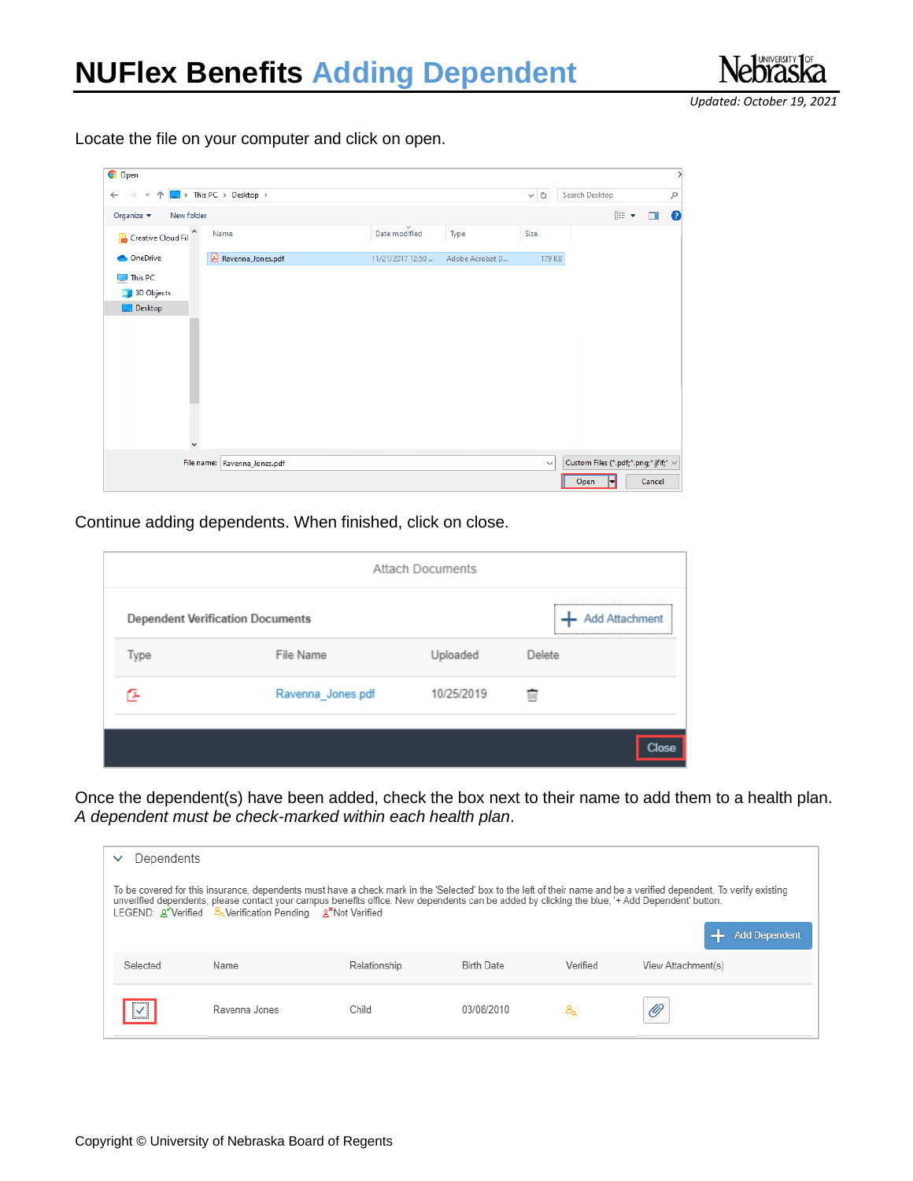*Updated: October 19, 2021*

Locate the file on your computer and click on open.

| O Open                                             |                                                                   |                  |                 |              |                                               |           |
|----------------------------------------------------|-------------------------------------------------------------------|------------------|-----------------|--------------|-----------------------------------------------|-----------|
| $\leftarrow$<br>$\rightarrow$<br>$\sim$ $\uparrow$ | $\blacktriangleright$ This PC $\rightarrow$ Desktop $\rightarrow$ |                  |                 | $\sim$ 0     | Search Desktop                                | $\varphi$ |
| Organize $\blacktriangledown$<br>New folder        |                                                                   |                  |                 |              | 距 ▼<br>$\Box$                                 | $\bullet$ |
| Α<br>Creative Cloud Fil                            | Name                                                              | Date modified    | Type            | Size         |                                               |           |
| OneDrive<br>◚                                      | & Ravenna_Jones.pdf                                               | 11/21/2017 12:50 | Adobe Acrobat D | 179 KB       |                                               |           |
| This PC<br>پ                                       |                                                                   |                  |                 |              |                                               |           |
| <b>3D Objects</b>                                  |                                                                   |                  |                 |              |                                               |           |
| Desktop                                            |                                                                   |                  |                 |              |                                               |           |
|                                                    |                                                                   |                  |                 |              |                                               |           |
|                                                    |                                                                   |                  |                 |              |                                               |           |
|                                                    |                                                                   |                  |                 |              |                                               |           |
|                                                    |                                                                   |                  |                 |              |                                               |           |
|                                                    |                                                                   |                  |                 |              |                                               |           |
|                                                    |                                                                   |                  |                 |              |                                               |           |
|                                                    |                                                                   |                  |                 |              |                                               |           |
| $\checkmark$                                       |                                                                   |                  |                 |              |                                               |           |
|                                                    |                                                                   |                  |                 |              |                                               |           |
|                                                    | File name: Ravenna_Jones.pdf                                      |                  |                 | $\checkmark$ | Custom Files (*.pdf;*.png;*.jfif;* $\,\vee\,$ |           |

Continue adding dependents. When finished, click on close.

| <b>Attach Documents</b> |                                         |                       |        |  |  |
|-------------------------|-----------------------------------------|-----------------------|--------|--|--|
|                         | <b>Dependent Verification Documents</b> | <b>Add Attachment</b> |        |  |  |
| Type                    | File Name                               | Uploaded              | Delete |  |  |
|                         | Ravenna_Jones.pdf                       | 10/25/2019            | Tur)   |  |  |
|                         |                                         |                       | Close. |  |  |

Once the dependent(s) have been added, check the box next to their name to add them to a health plan. *A dependent must be check-marked within each health plan*.

| Dependents<br>$\checkmark$ |                                                                                                                                                                                                            |              |                   |          |                                                                                                                                                                                             |  |  |  |
|----------------------------|------------------------------------------------------------------------------------------------------------------------------------------------------------------------------------------------------------|--------------|-------------------|----------|---------------------------------------------------------------------------------------------------------------------------------------------------------------------------------------------|--|--|--|
|                            | unverified dependents, please contact your campus benefits office. New dependents can be added by clicking the blue, '+ Add Dependent' button.<br>LEGEND: A Verified & Verification Pending A Not Verified |              |                   |          | To be covered for this insurance, dependents must have a check mark in the 'Selected' box to the left of their name and be a verified dependent. To verify existing<br><b>Add Dependent</b> |  |  |  |
| Selected                   | Name                                                                                                                                                                                                       | Relationship | <b>Birth Date</b> | Verified | View Attachment(s)                                                                                                                                                                          |  |  |  |
|                            | Ravenna Jones                                                                                                                                                                                              | Child        | 03/08/2010        | 8.       | Ø                                                                                                                                                                                           |  |  |  |